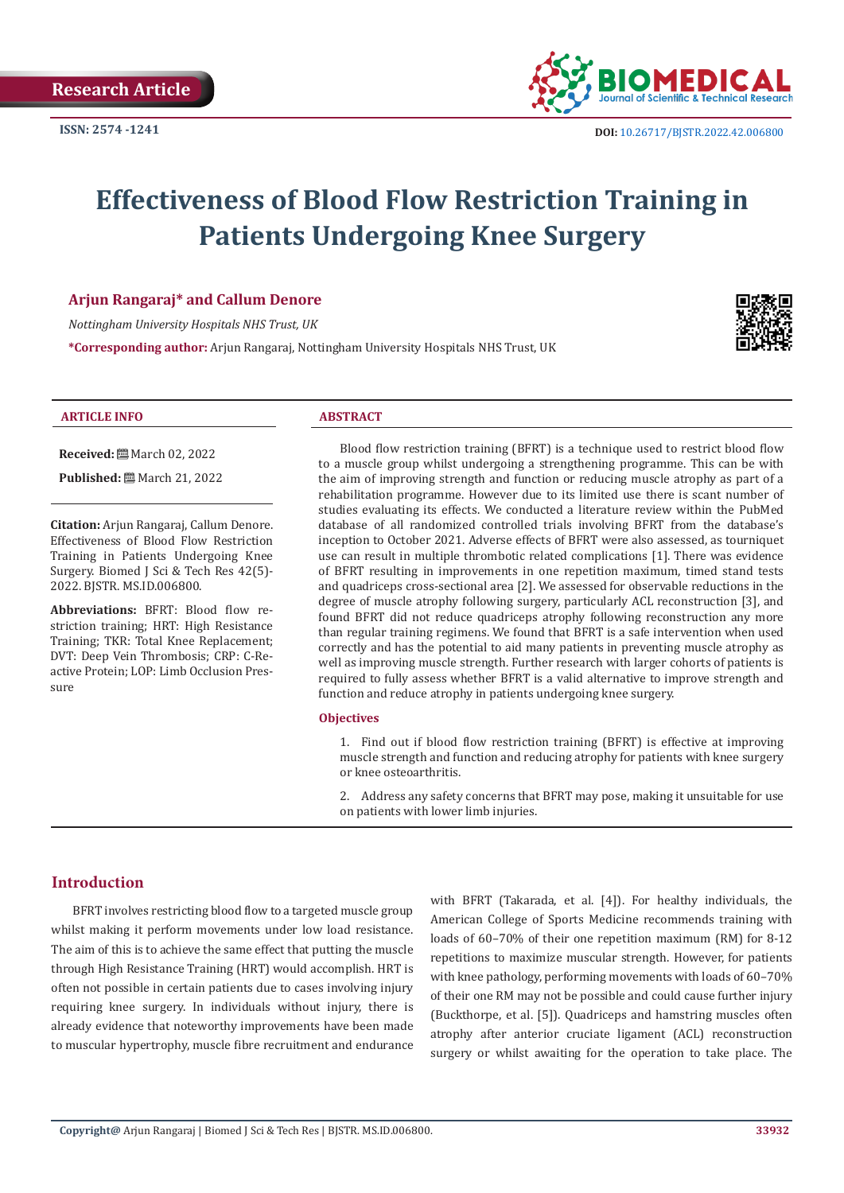

# **Effectiveness of Blood Flow Restriction Training in Patients Undergoing Knee Surgery**

### **Arjun Rangaraj\* and Callum Denore**

*Nottingham University Hospitals NHS Trust, UK*

**\*Corresponding author:** Arjun Rangaraj, Nottingham University Hospitals NHS Trust, UK



#### **ARTICLE INFO ABSTRACT**

**Received:** March 02, 2022

**Published:** March 21, 2022

**Citation:** Arjun Rangaraj, Callum Denore. Effectiveness of Blood Flow Restriction Training in Patients Undergoing Knee Surgery. Biomed J Sci & Tech Res 42(5)- 2022. BJSTR. MS.ID.006800.

**Abbreviations:** BFRT: Blood flow restriction training; HRT: High Resistance Training; TKR: Total Knee Replacement; DVT: Deep Vein Thrombosis; CRP: C-Reactive Protein; LOP: Limb Occlusion Pressure

Blood flow restriction training (BFRT) is a technique used to restrict blood flow to a muscle group whilst undergoing a strengthening programme. This can be with the aim of improving strength and function or reducing muscle atrophy as part of a rehabilitation programme. However due to its limited use there is scant number of studies evaluating its effects. We conducted a literature review within the PubMed database of all randomized controlled trials involving BFRT from the database's inception to October 2021. Adverse effects of BFRT were also assessed, as tourniquet use can result in multiple thrombotic related complications [1]. There was evidence of BFRT resulting in improvements in one repetition maximum, timed stand tests and quadriceps cross-sectional area [2]. We assessed for observable reductions in the degree of muscle atrophy following surgery, particularly ACL reconstruction [3], and found BFRT did not reduce quadriceps atrophy following reconstruction any more than regular training regimens. We found that BFRT is a safe intervention when used correctly and has the potential to aid many patients in preventing muscle atrophy as well as improving muscle strength. Further research with larger cohorts of patients is required to fully assess whether BFRT is a valid alternative to improve strength and function and reduce atrophy in patients undergoing knee surgery.

#### **Objectives**

1. Find out if blood flow restriction training (BFRT) is effective at improving muscle strength and function and reducing atrophy for patients with knee surgery or knee osteoarthritis.

2. Address any safety concerns that BFRT may pose, making it unsuitable for use on patients with lower limb injuries.

# **Introduction**

BFRT involves restricting blood flow to a targeted muscle group whilst making it perform movements under low load resistance. The aim of this is to achieve the same effect that putting the muscle through High Resistance Training (HRT) would accomplish. HRT is often not possible in certain patients due to cases involving injury requiring knee surgery. In individuals without injury, there is already evidence that noteworthy improvements have been made to muscular hypertrophy, muscle fibre recruitment and endurance with BFRT (Takarada, et al. [4]). For healthy individuals, the American College of Sports Medicine recommends training with loads of 60–70% of their one repetition maximum (RM) for 8-12 repetitions to maximize muscular strength. However, for patients with knee pathology, performing movements with loads of 60–70% of their one RM may not be possible and could cause further injury (Buckthorpe, et al. [5]). Quadriceps and hamstring muscles often atrophy after anterior cruciate ligament (ACL) reconstruction surgery or whilst awaiting for the operation to take place. The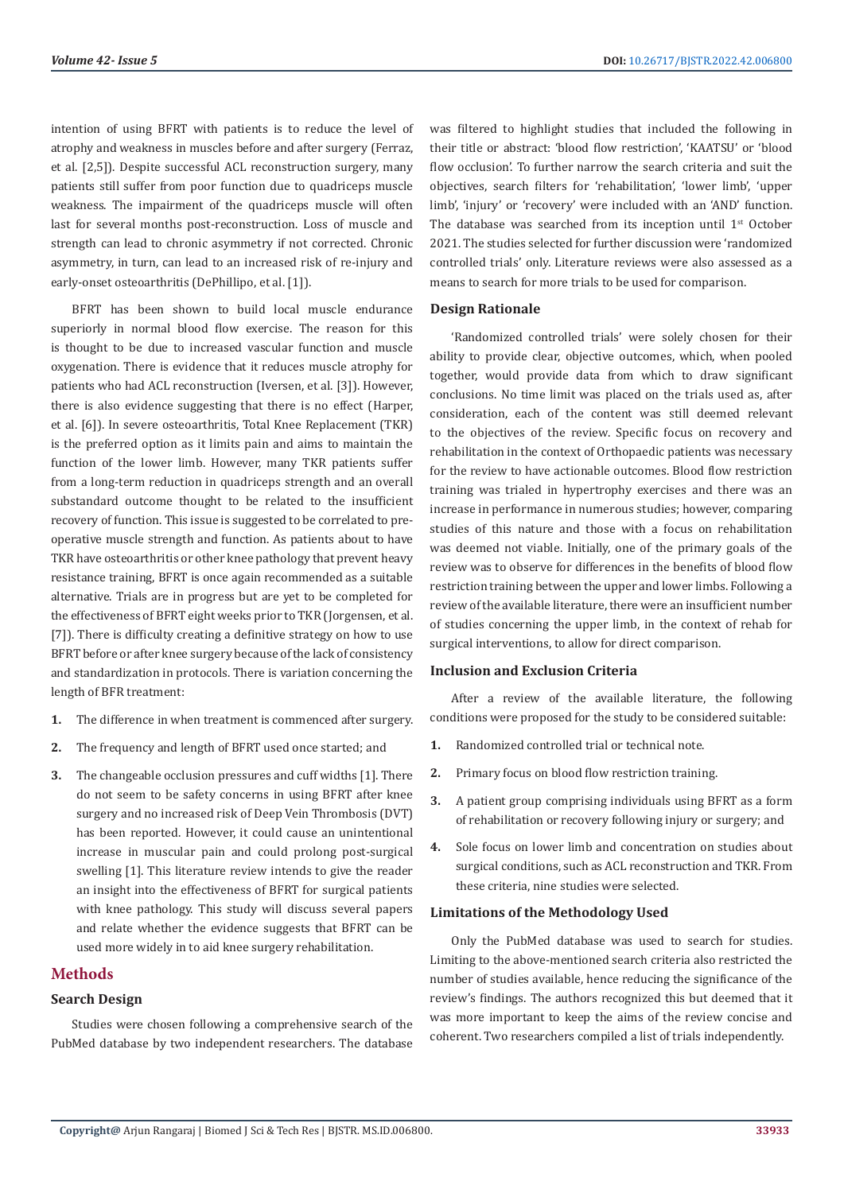intention of using BFRT with patients is to reduce the level of atrophy and weakness in muscles before and after surgery (Ferraz, et al. [2,5]). Despite successful ACL reconstruction surgery, many patients still suffer from poor function due to quadriceps muscle weakness. The impairment of the quadriceps muscle will often last for several months post-reconstruction. Loss of muscle and strength can lead to chronic asymmetry if not corrected. Chronic asymmetry, in turn, can lead to an increased risk of re-injury and early-onset osteoarthritis (DePhillipo, et al. [1]).

BFRT has been shown to build local muscle endurance superiorly in normal blood flow exercise. The reason for this is thought to be due to increased vascular function and muscle oxygenation. There is evidence that it reduces muscle atrophy for patients who had ACL reconstruction (Iversen, et al. [3]). However, there is also evidence suggesting that there is no effect (Harper, et al. [6]). In severe osteoarthritis, Total Knee Replacement (TKR) is the preferred option as it limits pain and aims to maintain the function of the lower limb. However, many TKR patients suffer from a long-term reduction in quadriceps strength and an overall substandard outcome thought to be related to the insufficient recovery of function. This issue is suggested to be correlated to preoperative muscle strength and function. As patients about to have TKR have osteoarthritis or other knee pathology that prevent heavy resistance training, BFRT is once again recommended as a suitable alternative. Trials are in progress but are yet to be completed for the effectiveness of BFRT eight weeks prior to TKR (Jorgensen, et al. [7]). There is difficulty creating a definitive strategy on how to use BFRT before or after knee surgery because of the lack of consistency and standardization in protocols. There is variation concerning the length of BFR treatment:

- **1.** The difference in when treatment is commenced after surgery.
- **2.** The frequency and length of BFRT used once started; and
- **3.** The changeable occlusion pressures and cuff widths [1]. There do not seem to be safety concerns in using BFRT after knee surgery and no increased risk of Deep Vein Thrombosis (DVT) has been reported. However, it could cause an unintentional increase in muscular pain and could prolong post-surgical swelling [1]. This literature review intends to give the reader an insight into the effectiveness of BFRT for surgical patients with knee pathology. This study will discuss several papers and relate whether the evidence suggests that BFRT can be used more widely in to aid knee surgery rehabilitation.

# **Methods**

## **Search Design**

Studies were chosen following a comprehensive search of the PubMed database by two independent researchers. The database

was filtered to highlight studies that included the following in their title or abstract: 'blood flow restriction', 'KAATSU' or 'blood flow occlusion'. To further narrow the search criteria and suit the objectives, search filters for 'rehabilitation', 'lower limb', 'upper limb', 'injury' or 'recovery' were included with an 'AND' function. The database was searched from its inception until  $1<sup>st</sup>$  October 2021. The studies selected for further discussion were 'randomized controlled trials' only. Literature reviews were also assessed as a means to search for more trials to be used for comparison.

#### **Design Rationale**

'Randomized controlled trials' were solely chosen for their ability to provide clear, objective outcomes, which, when pooled together, would provide data from which to draw significant conclusions. No time limit was placed on the trials used as, after consideration, each of the content was still deemed relevant to the objectives of the review. Specific focus on recovery and rehabilitation in the context of Orthopaedic patients was necessary for the review to have actionable outcomes. Blood flow restriction training was trialed in hypertrophy exercises and there was an increase in performance in numerous studies; however, comparing studies of this nature and those with a focus on rehabilitation was deemed not viable. Initially, one of the primary goals of the review was to observe for differences in the benefits of blood flow restriction training between the upper and lower limbs. Following a review of the available literature, there were an insufficient number of studies concerning the upper limb, in the context of rehab for surgical interventions, to allow for direct comparison.

#### **Inclusion and Exclusion Criteria**

After a review of the available literature, the following conditions were proposed for the study to be considered suitable:

- **1.** Randomized controlled trial or technical note.
- **2.** Primary focus on blood flow restriction training.
- **3.** A patient group comprising individuals using BFRT as a form of rehabilitation or recovery following injury or surgery; and
- **4.** Sole focus on lower limb and concentration on studies about surgical conditions, such as ACL reconstruction and TKR. From these criteria, nine studies were selected.

#### **Limitations of the Methodology Used**

Only the PubMed database was used to search for studies. Limiting to the above-mentioned search criteria also restricted the number of studies available, hence reducing the significance of the review's findings. The authors recognized this but deemed that it was more important to keep the aims of the review concise and coherent. Two researchers compiled a list of trials independently.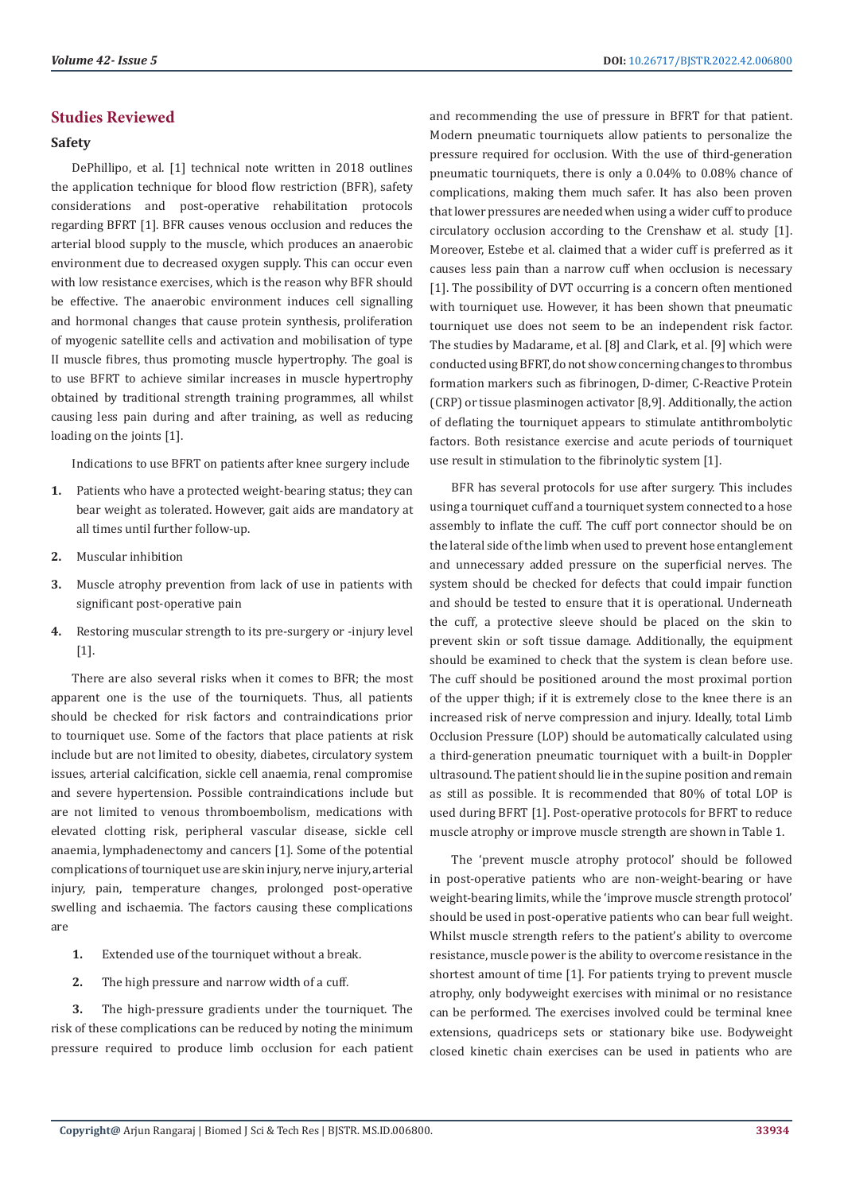# **Studies Reviewed**

# **Safety**

DePhillipo, et al. [1] technical note written in 2018 outlines the application technique for blood flow restriction (BFR), safety considerations and post-operative rehabilitation protocols regarding BFRT [1]. BFR causes venous occlusion and reduces the arterial blood supply to the muscle, which produces an anaerobic environment due to decreased oxygen supply. This can occur even with low resistance exercises, which is the reason why BFR should be effective. The anaerobic environment induces cell signalling and hormonal changes that cause protein synthesis, proliferation of myogenic satellite cells and activation and mobilisation of type II muscle fibres, thus promoting muscle hypertrophy. The goal is to use BFRT to achieve similar increases in muscle hypertrophy obtained by traditional strength training programmes, all whilst causing less pain during and after training, as well as reducing loading on the joints [1].

Indications to use BFRT on patients after knee surgery include

- **1.** Patients who have a protected weight-bearing status; they can bear weight as tolerated. However, gait aids are mandatory at all times until further follow-up.
- **2.** Muscular inhibition
- **3.** Muscle atrophy prevention from lack of use in patients with significant post-operative pain
- **4.** Restoring muscular strength to its pre-surgery or -injury level [1].

There are also several risks when it comes to BFR; the most apparent one is the use of the tourniquets. Thus, all patients should be checked for risk factors and contraindications prior to tourniquet use. Some of the factors that place patients at risk include but are not limited to obesity, diabetes, circulatory system issues, arterial calcification, sickle cell anaemia, renal compromise and severe hypertension. Possible contraindications include but are not limited to venous thromboembolism, medications with elevated clotting risk, peripheral vascular disease, sickle cell anaemia, lymphadenectomy and cancers [1]. Some of the potential complications of tourniquet use are skin injury, nerve injury, arterial injury, pain, temperature changes, prolonged post-operative swelling and ischaemia. The factors causing these complications are

- **1.** Extended use of the tourniquet without a break.
- **2.** The high pressure and narrow width of a cuff.

**3.** The high-pressure gradients under the tourniquet. The risk of these complications can be reduced by noting the minimum pressure required to produce limb occlusion for each patient and recommending the use of pressure in BFRT for that patient. Modern pneumatic tourniquets allow patients to personalize the pressure required for occlusion. With the use of third-generation pneumatic tourniquets, there is only a 0.04% to 0.08% chance of complications, making them much safer. It has also been proven that lower pressures are needed when using a wider cuff to produce circulatory occlusion according to the Crenshaw et al. study [1]. Moreover, Estebe et al. claimed that a wider cuff is preferred as it causes less pain than a narrow cuff when occlusion is necessary [1]. The possibility of DVT occurring is a concern often mentioned with tourniquet use. However, it has been shown that pneumatic tourniquet use does not seem to be an independent risk factor. The studies by Madarame, et al. [8] and Clark, et al. [9] which were conducted using BFRT, do not show concerning changes to thrombus formation markers such as fibrinogen, D-dimer, C-Reactive Protein (CRP) or tissue plasminogen activator [8,9]. Additionally, the action of deflating the tourniquet appears to stimulate antithrombolytic factors. Both resistance exercise and acute periods of tourniquet use result in stimulation to the fibrinolytic system [1].

BFR has several protocols for use after surgery. This includes using a tourniquet cuff and a tourniquet system connected to a hose assembly to inflate the cuff. The cuff port connector should be on the lateral side of the limb when used to prevent hose entanglement and unnecessary added pressure on the superficial nerves. The system should be checked for defects that could impair function and should be tested to ensure that it is operational. Underneath the cuff, a protective sleeve should be placed on the skin to prevent skin or soft tissue damage. Additionally, the equipment should be examined to check that the system is clean before use. The cuff should be positioned around the most proximal portion of the upper thigh; if it is extremely close to the knee there is an increased risk of nerve compression and injury. Ideally, total Limb Occlusion Pressure (LOP) should be automatically calculated using a third-generation pneumatic tourniquet with a built-in Doppler ultrasound. The patient should lie in the supine position and remain as still as possible. It is recommended that 80% of total LOP is used during BFRT [1]. Post-operative protocols for BFRT to reduce muscle atrophy or improve muscle strength are shown in Table 1.

The 'prevent muscle atrophy protocol' should be followed in post-operative patients who are non-weight-bearing or have weight-bearing limits, while the 'improve muscle strength protocol' should be used in post-operative patients who can bear full weight. Whilst muscle strength refers to the patient's ability to overcome resistance, muscle power is the ability to overcome resistance in the shortest amount of time [1]. For patients trying to prevent muscle atrophy, only bodyweight exercises with minimal or no resistance can be performed. The exercises involved could be terminal knee extensions, quadriceps sets or stationary bike use. Bodyweight closed kinetic chain exercises can be used in patients who are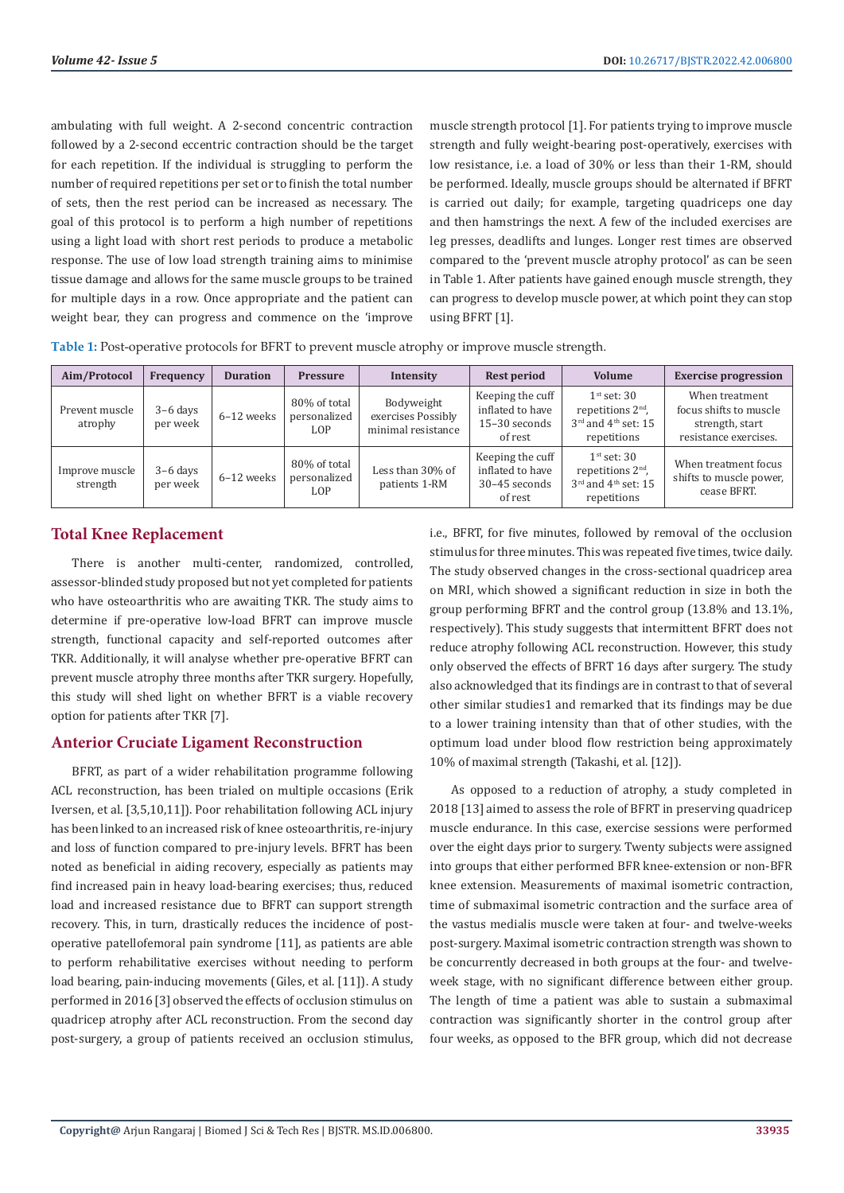ambulating with full weight. A 2-second concentric contraction followed by a 2-second eccentric contraction should be the target for each repetition. If the individual is struggling to perform the number of required repetitions per set or to finish the total number of sets, then the rest period can be increased as necessary. The goal of this protocol is to perform a high number of repetitions using a light load with short rest periods to produce a metabolic response. The use of low load strength training aims to minimise tissue damage and allows for the same muscle groups to be trained for multiple days in a row. Once appropriate and the patient can weight bear, they can progress and commence on the 'improve

muscle strength protocol [1]. For patients trying to improve muscle strength and fully weight-bearing post-operatively, exercises with low resistance, i.e. a load of 30% or less than their 1-RM, should be performed. Ideally, muscle groups should be alternated if BFRT is carried out daily; for example, targeting quadriceps one day and then hamstrings the next. A few of the included exercises are leg presses, deadlifts and lunges. Longer rest times are observed compared to the 'prevent muscle atrophy protocol' as can be seen in Table 1. After patients have gained enough muscle strength, they can progress to develop muscle power, at which point they can stop using BFRT [1].

**Table 1:** Post-operative protocols for BFRT to prevent muscle atrophy or improve muscle strength.

| Aim/Protocol               | <b>Frequency</b>       | <b>Duration</b> | <b>Pressure</b>                     | Intensity                                              | <b>Rest period</b>                                               | <b>Volume</b>                                                                                      | <b>Exercise progression</b>                                                          |
|----------------------------|------------------------|-----------------|-------------------------------------|--------------------------------------------------------|------------------------------------------------------------------|----------------------------------------------------------------------------------------------------|--------------------------------------------------------------------------------------|
| Prevent muscle<br>atrophy  | $3-6$ days<br>per week | 6-12 weeks      | 80% of total<br>personalized<br>LOP | Bodyweight<br>exercises Possibly<br>minimal resistance | Keeping the cuff<br>inflated to have<br>15-30 seconds<br>of rest | $1st$ set: 30<br>repetitions $2nd$ .<br>$3^{\text{rd}}$ and $4^{\text{th}}$ set: 15<br>repetitions | When treatment<br>focus shifts to muscle<br>strength, start<br>resistance exercises. |
| Improve muscle<br>strength | $3-6$ days<br>per week | 6-12 weeks      | 80% of total<br>personalized<br>LOP | Less than 30% of<br>patients 1-RM                      | Keeping the cuff<br>inflated to have<br>30-45 seconds<br>of rest | $1st$ set: 30<br>repetitions $2nd$ ,<br>$3^{\text{rd}}$ and $4^{\text{th}}$ set: 15<br>repetitions | When treatment focus<br>shifts to muscle power,<br>cease BFRT.                       |

# **Total Knee Replacement**

There is another multi-center, randomized, controlled, assessor-blinded study proposed but not yet completed for patients who have osteoarthritis who are awaiting TKR. The study aims to determine if pre-operative low-load BFRT can improve muscle strength, functional capacity and self-reported outcomes after TKR. Additionally, it will analyse whether pre-operative BFRT can prevent muscle atrophy three months after TKR surgery. Hopefully, this study will shed light on whether BFRT is a viable recovery option for patients after TKR [7].

# **Anterior Cruciate Ligament Reconstruction**

BFRT, as part of a wider rehabilitation programme following ACL reconstruction, has been trialed on multiple occasions (Erik Iversen, et al. [3,5,10,11]). Poor rehabilitation following ACL injury has been linked to an increased risk of knee osteoarthritis, re-injury and loss of function compared to pre-injury levels. BFRT has been noted as beneficial in aiding recovery, especially as patients may find increased pain in heavy load-bearing exercises; thus, reduced load and increased resistance due to BFRT can support strength recovery. This, in turn, drastically reduces the incidence of postoperative patellofemoral pain syndrome [11], as patients are able to perform rehabilitative exercises without needing to perform load bearing, pain-inducing movements (Giles, et al. [11]). A study performed in 2016 [3] observed the effects of occlusion stimulus on quadricep atrophy after ACL reconstruction. From the second day post-surgery, a group of patients received an occlusion stimulus,

i.e., BFRT, for five minutes, followed by removal of the occlusion stimulus for three minutes. This was repeated five times, twice daily. The study observed changes in the cross-sectional quadricep area on MRI, which showed a significant reduction in size in both the group performing BFRT and the control group (13.8% and 13.1%, respectively). This study suggests that intermittent BFRT does not reduce atrophy following ACL reconstruction. However, this study only observed the effects of BFRT 16 days after surgery. The study also acknowledged that its findings are in contrast to that of several other similar studies1 and remarked that its findings may be due to a lower training intensity than that of other studies, with the optimum load under blood flow restriction being approximately 10% of maximal strength (Takashi, et al. [12]).

As opposed to a reduction of atrophy, a study completed in 2018 [13] aimed to assess the role of BFRT in preserving quadricep muscle endurance. In this case, exercise sessions were performed over the eight days prior to surgery. Twenty subjects were assigned into groups that either performed BFR knee-extension or non-BFR knee extension. Measurements of maximal isometric contraction, time of submaximal isometric contraction and the surface area of the vastus medialis muscle were taken at four- and twelve-weeks post-surgery. Maximal isometric contraction strength was shown to be concurrently decreased in both groups at the four- and twelveweek stage, with no significant difference between either group. The length of time a patient was able to sustain a submaximal contraction was significantly shorter in the control group after four weeks, as opposed to the BFR group, which did not decrease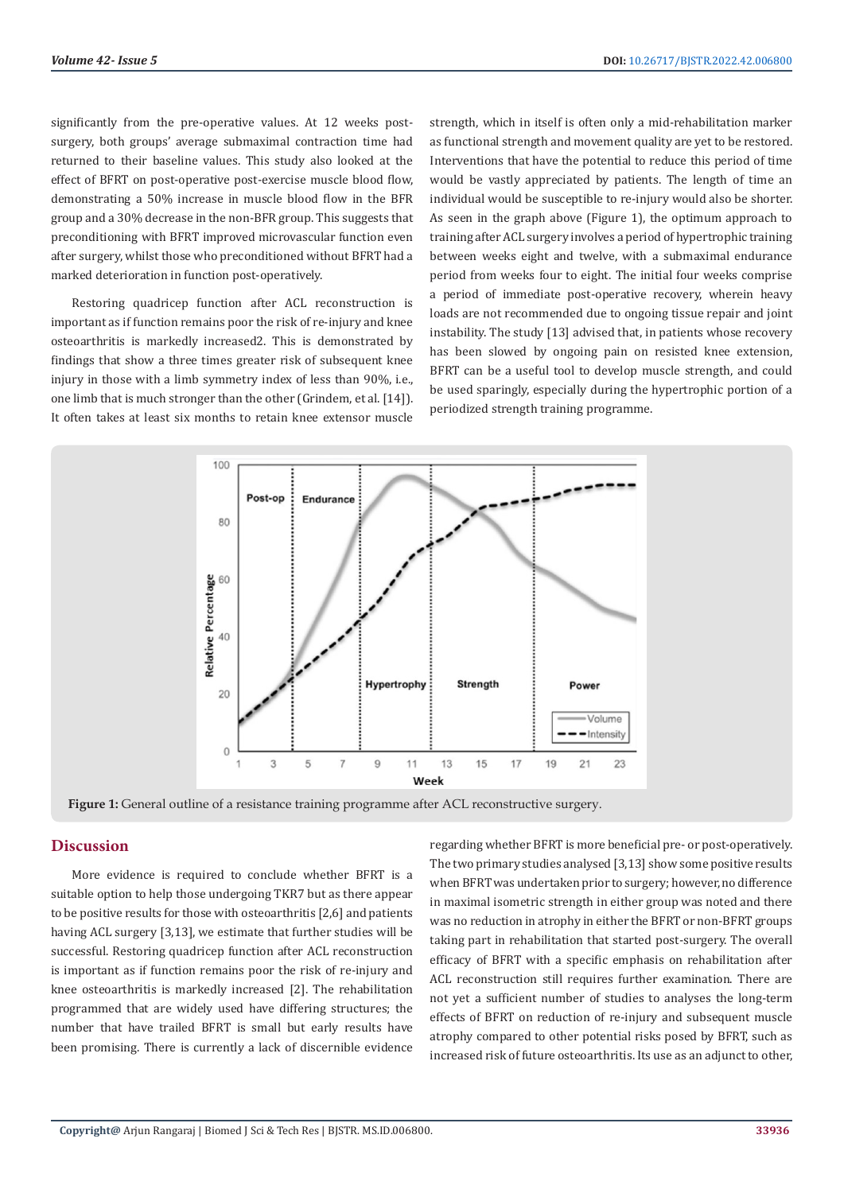significantly from the pre-operative values. At 12 weeks postsurgery, both groups' average submaximal contraction time had returned to their baseline values. This study also looked at the effect of BFRT on post-operative post-exercise muscle blood flow, demonstrating a 50% increase in muscle blood flow in the BFR group and a 30% decrease in the non-BFR group. This suggests that preconditioning with BFRT improved microvascular function even after surgery, whilst those who preconditioned without BFRT had a marked deterioration in function post-operatively.

Restoring quadricep function after ACL reconstruction is important as if function remains poor the risk of re-injury and knee osteoarthritis is markedly increased2. This is demonstrated by findings that show a three times greater risk of subsequent knee injury in those with a limb symmetry index of less than 90%, i.e., one limb that is much stronger than the other (Grindem, et al. [14]). It often takes at least six months to retain knee extensor muscle

strength, which in itself is often only a mid-rehabilitation marker as functional strength and movement quality are yet to be restored. Interventions that have the potential to reduce this period of time would be vastly appreciated by patients. The length of time an individual would be susceptible to re-injury would also be shorter. As seen in the graph above (Figure 1), the optimum approach to training after ACL surgery involves a period of hypertrophic training between weeks eight and twelve, with a submaximal endurance period from weeks four to eight. The initial four weeks comprise a period of immediate post-operative recovery, wherein heavy loads are not recommended due to ongoing tissue repair and joint instability. The study [13] advised that, in patients whose recovery has been slowed by ongoing pain on resisted knee extension, BFRT can be a useful tool to develop muscle strength, and could be used sparingly, especially during the hypertrophic portion of a periodized strength training programme.



**Figure 1:** General outline of a resistance training programme after ACL reconstructive surgery.

# **Discussion**

More evidence is required to conclude whether BFRT is a suitable option to help those undergoing TKR7 but as there appear to be positive results for those with osteoarthritis [2,6] and patients having ACL surgery [3,13], we estimate that further studies will be successful. Restoring quadricep function after ACL reconstruction is important as if function remains poor the risk of re-injury and knee osteoarthritis is markedly increased [2]. The rehabilitation programmed that are widely used have differing structures; the number that have trailed BFRT is small but early results have been promising. There is currently a lack of discernible evidence

regarding whether BFRT is more beneficial pre- or post-operatively. The two primary studies analysed [3,13] show some positive results when BFRT was undertaken prior to surgery; however, no difference in maximal isometric strength in either group was noted and there was no reduction in atrophy in either the BFRT or non-BFRT groups taking part in rehabilitation that started post-surgery. The overall efficacy of BFRT with a specific emphasis on rehabilitation after ACL reconstruction still requires further examination. There are not yet a sufficient number of studies to analyses the long-term effects of BFRT on reduction of re-injury and subsequent muscle atrophy compared to other potential risks posed by BFRT, such as increased risk of future osteoarthritis. Its use as an adjunct to other,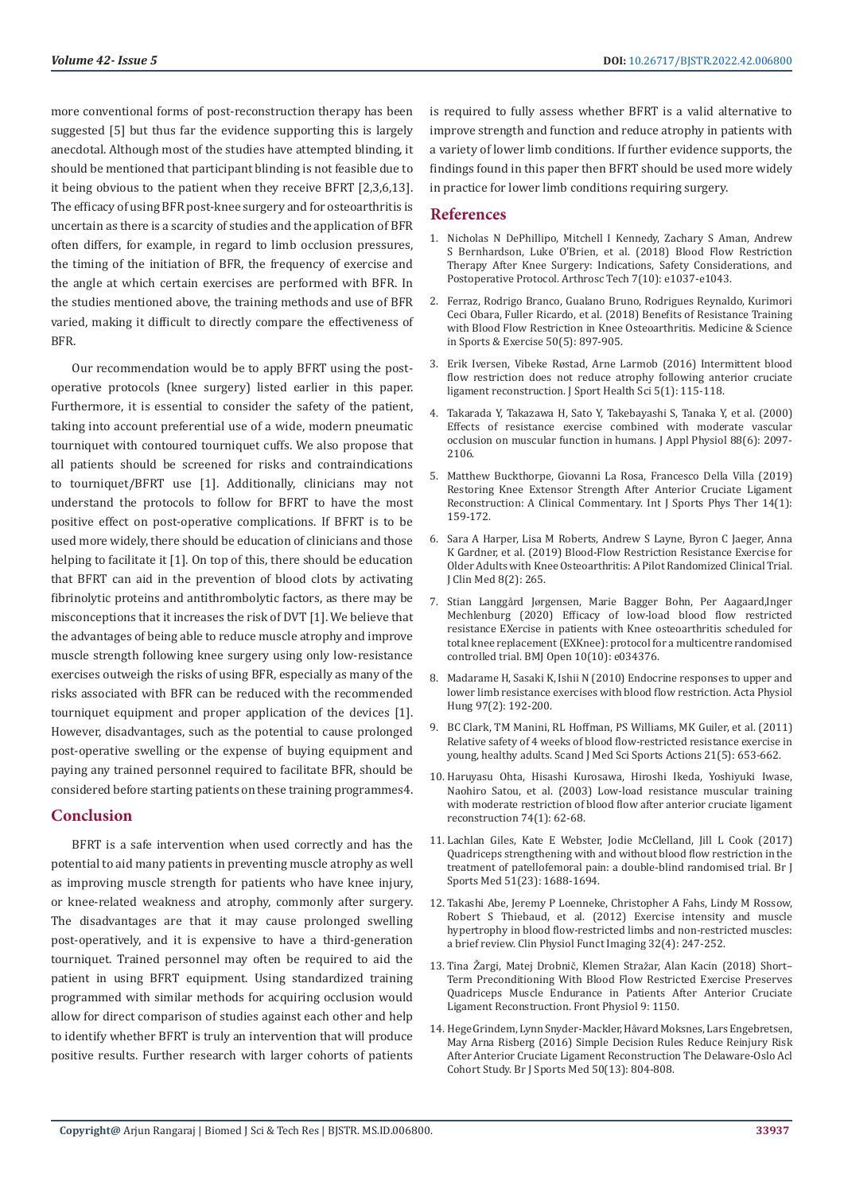more conventional forms of post-reconstruction therapy has been suggested [5] but thus far the evidence supporting this is largely anecdotal. Although most of the studies have attempted blinding, it should be mentioned that participant blinding is not feasible due to it being obvious to the patient when they receive BFRT [2,3,6,13]. The efficacy of using BFR post-knee surgery and for osteoarthritis is uncertain as there is a scarcity of studies and the application of BFR often differs, for example, in regard to limb occlusion pressures, the timing of the initiation of BFR, the frequency of exercise and the angle at which certain exercises are performed with BFR. In the studies mentioned above, the training methods and use of BFR varied, making it difficult to directly compare the effectiveness of BFR.

Our recommendation would be to apply BFRT using the postoperative protocols (knee surgery) listed earlier in this paper. Furthermore, it is essential to consider the safety of the patient, taking into account preferential use of a wide, modern pneumatic tourniquet with contoured tourniquet cuffs. We also propose that all patients should be screened for risks and contraindications to tourniquet/BFRT use [1]. Additionally, clinicians may not understand the protocols to follow for BFRT to have the most positive effect on post-operative complications. If BFRT is to be used more widely, there should be education of clinicians and those helping to facilitate it [1]. On top of this, there should be education that BFRT can aid in the prevention of blood clots by activating fibrinolytic proteins and antithrombolytic factors, as there may be misconceptions that it increases the risk of DVT [1]. We believe that the advantages of being able to reduce muscle atrophy and improve muscle strength following knee surgery using only low-resistance exercises outweigh the risks of using BFR, especially as many of the risks associated with BFR can be reduced with the recommended tourniquet equipment and proper application of the devices [1]. However, disadvantages, such as the potential to cause prolonged post-operative swelling or the expense of buying equipment and paying any trained personnel required to facilitate BFR, should be considered before starting patients on these training programmes4.

# **Conclusion**

BFRT is a safe intervention when used correctly and has the potential to aid many patients in preventing muscle atrophy as well as improving muscle strength for patients who have knee injury, or knee-related weakness and atrophy, commonly after surgery. The disadvantages are that it may cause prolonged swelling post-operatively, and it is expensive to have a third-generation tourniquet. Trained personnel may often be required to aid the patient in using BFRT equipment. Using standardized training programmed with similar methods for acquiring occlusion would allow for direct comparison of studies against each other and help to identify whether BFRT is truly an intervention that will produce positive results. Further research with larger cohorts of patients

is required to fully assess whether BFRT is a valid alternative to improve strength and function and reduce atrophy in patients with a variety of lower limb conditions. If further evidence supports, the findings found in this paper then BFRT should be used more widely in practice for lower limb conditions requiring surgery.

# **References**

- 1. [Nicholas N DePhillipo, Mitchell I Kennedy, Zachary S Aman, Andrew](https://pubmed.ncbi.nlm.nih.gov/30377584/) [S Bernhardson, Luke O'Brien, et al. \(2018\) Blood Flow Restriction](https://pubmed.ncbi.nlm.nih.gov/30377584/) [Therapy After Knee Surgery: Indications, Safety Considerations, and](https://pubmed.ncbi.nlm.nih.gov/30377584/) [Postoperative Protocol. Arthrosc Tech 7\(10\): e1037-e1043.](https://pubmed.ncbi.nlm.nih.gov/30377584/)
- 2. [Ferraz, Rodrigo Branco, Gualano Bruno, Rodrigues Reynaldo, Kurimori](https://pubmed.ncbi.nlm.nih.gov/29266093/) [Ceci Obara, Fuller Ricardo, et al. \(2018\) Benefits of Resistance Training](https://pubmed.ncbi.nlm.nih.gov/29266093/) [with Blood Flow Restriction in Knee Osteoarthritis. Medicine & Science](https://pubmed.ncbi.nlm.nih.gov/29266093/) [in Sports & Exercise 50\(5\): 897-905.](https://pubmed.ncbi.nlm.nih.gov/29266093/)
- 3. Erik Iversen, Vibeke Rø[stad, Arne Larmob \(2016\) Intermittent blood](https://pubmed.ncbi.nlm.nih.gov/30356481/) [flow restriction does not reduce atrophy following anterior cruciate](https://pubmed.ncbi.nlm.nih.gov/30356481/) [ligament reconstruction. J Sport Health Sci 5\(1\): 115-118.](https://pubmed.ncbi.nlm.nih.gov/30356481/)
- 4. [Takarada Y, Takazawa H, Sato Y, Takebayashi S, Tanaka Y, et al. \(2000\)](https://pubmed.ncbi.nlm.nih.gov/10846023/) [Effects of resistance exercise combined with moderate vascular](https://pubmed.ncbi.nlm.nih.gov/10846023/) [occlusion on muscular function in humans. J Appl Physiol 88\(6\): 2097-](https://pubmed.ncbi.nlm.nih.gov/10846023/) [2106.](https://pubmed.ncbi.nlm.nih.gov/10846023/)
- 5. [Matthew Buckthorpe, Giovanni La Rosa, Francesco Della Villa \(2019\)](https://pubmed.ncbi.nlm.nih.gov/30746302/) [Restoring Knee Extensor Strength After Anterior Cruciate Ligament](https://pubmed.ncbi.nlm.nih.gov/30746302/) [Reconstruction: A Clinical Commentary. Int J Sports Phys Ther 14\(1\):](https://pubmed.ncbi.nlm.nih.gov/30746302/) [159-172.](https://pubmed.ncbi.nlm.nih.gov/30746302/)
- 6. [Sara A Harper, Lisa M Roberts, Andrew S Layne, Byron C Jaeger, Anna](https://pubmed.ncbi.nlm.nih.gov/30795545/) [K Gardner, et al. \(2019\) Blood-Flow Restriction Resistance Exercise for](https://pubmed.ncbi.nlm.nih.gov/30795545/) [Older Adults with Knee Osteoarthritis: A Pilot Randomized Clinical Trial.](https://pubmed.ncbi.nlm.nih.gov/30795545/) [J Clin Med 8\(2\): 265.](https://pubmed.ncbi.nlm.nih.gov/30795545/)
- 7. Stian Langgård Jø[rgensen, Marie Bagger Bohn, Per Aagaard,Inger](https://pubmed.ncbi.nlm.nih.gov/33004382/) [Mechlenburg \(2020\) Efficacy of low-load blood flow restricted](https://pubmed.ncbi.nlm.nih.gov/33004382/) [resistance EXercise in patients with Knee osteoarthritis scheduled for](https://pubmed.ncbi.nlm.nih.gov/33004382/) [total knee replacement \(EXKnee\): protocol for a multicentre randomised](https://pubmed.ncbi.nlm.nih.gov/33004382/) [controlled trial. BMJ Open 10\(10\): e034376.](https://pubmed.ncbi.nlm.nih.gov/33004382/)
- 8. [Madarame H, Sasaki K, Ishii N \(2010\) Endocrine responses to upper and](https://pubmed.ncbi.nlm.nih.gov/20511128/) [lower limb resistance exercises with blood flow restriction. Acta Physiol](https://pubmed.ncbi.nlm.nih.gov/20511128/) [Hung 97\(2\): 192-200.](https://pubmed.ncbi.nlm.nih.gov/20511128/)
- 9. [BC Clark, TM Manini, RL Hoffman, PS Williams, MK Guiler, et al. \(2011\)](https://pubmed.ncbi.nlm.nih.gov/21917016/) [Relative safety of 4 weeks of blood flow-restricted resistance exercise in](https://pubmed.ncbi.nlm.nih.gov/21917016/) [young, healthy adults. Scand J Med Sci Sports Actions 21\(5\): 653-662.](https://pubmed.ncbi.nlm.nih.gov/21917016/)
- 10. [Haruyasu Ohta, Hisashi Kurosawa, Hiroshi Ikeda, Yoshiyuki Iwase,](https://www.researchgate.net/publication/10857059_Low-load_resistance_muscular_training_with_moderate_restriction_of_blood_flow_after_anterior_cruciate_ligament_reconstruction) [Naohiro Satou, et al. \(2003\) Low-load resistance muscular training](https://www.researchgate.net/publication/10857059_Low-load_resistance_muscular_training_with_moderate_restriction_of_blood_flow_after_anterior_cruciate_ligament_reconstruction) [with moderate restriction of blood flow after anterior cruciate ligament](https://www.researchgate.net/publication/10857059_Low-load_resistance_muscular_training_with_moderate_restriction_of_blood_flow_after_anterior_cruciate_ligament_reconstruction) [reconstruction 74\(1\): 62-68.](https://www.researchgate.net/publication/10857059_Low-load_resistance_muscular_training_with_moderate_restriction_of_blood_flow_after_anterior_cruciate_ligament_reconstruction)
- 11. [Lachlan Giles, Kate E Webster, Jodie McClelland, Jill L Cook \(2017\)](https://pubmed.ncbi.nlm.nih.gov/28500081/) [Quadriceps strengthening with and without blood flow restriction in the](https://pubmed.ncbi.nlm.nih.gov/28500081/) [treatment of patellofemoral pain: a double-blind randomised trial. Br J](https://pubmed.ncbi.nlm.nih.gov/28500081/) [Sports Med 51\(23\): 1688-1694.](https://pubmed.ncbi.nlm.nih.gov/28500081/)
- 12. [Takashi Abe, Jeremy P Loenneke, Christopher A Fahs, Lindy M Rossow,](https://pubmed.ncbi.nlm.nih.gov/22681600/) [Robert S Thiebaud, et al. \(2012\) Exercise intensity and muscle](https://pubmed.ncbi.nlm.nih.gov/22681600/) [hypertrophy in blood flow-restricted limbs and non-restricted muscles:](https://pubmed.ncbi.nlm.nih.gov/22681600/) [a brief review. Clin Physiol Funct Imaging 32\(4\): 247-252.](https://pubmed.ncbi.nlm.nih.gov/22681600/)
- 13. Tina Žargi, Matej Drobnič, Klemen Straž[ar, Alan Kacin \(2018\) Short–](https://pubmed.ncbi.nlm.nih.gov/30197599/) [Term Preconditioning With Blood Flow Restricted Exercise Preserves](https://pubmed.ncbi.nlm.nih.gov/30197599/) [Quadriceps Muscle Endurance in Patients After Anterior Cruciate](https://pubmed.ncbi.nlm.nih.gov/30197599/) [Ligament Reconstruction. Front Physiol 9: 1150.](https://pubmed.ncbi.nlm.nih.gov/30197599/)
- 14. [Hege Grindem, Lynn Snyder-Mackler, H](https://pubmed.ncbi.nlm.nih.gov/27162233/)åvard Moksnes, Lars Engebretsen, [May Arna Risberg \(2016\) Simple Decision Rules Reduce Reinjury Risk](https://pubmed.ncbi.nlm.nih.gov/27162233/) [After Anterior Cruciate Ligament Reconstruction The Delaware-Oslo Acl](https://pubmed.ncbi.nlm.nih.gov/27162233/) [Cohort Study. Br J Sports Med 50\(13\): 804-808.](https://pubmed.ncbi.nlm.nih.gov/27162233/)